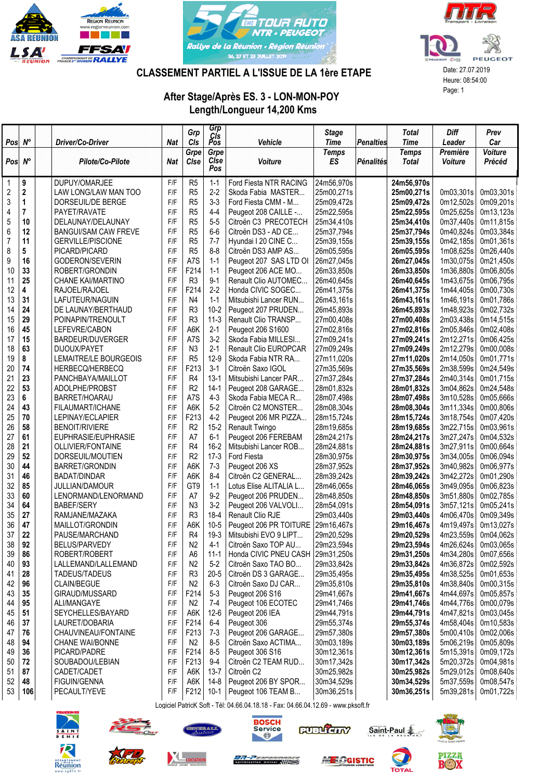





## CLASSEMENT PARTIEL A L'ISSUE DE LA 1ère ETAPE Date: 27.07.2019

## After Stage/Après ES. 3 - LON-MON-POY Length/Longueur 14,200 Kms

|                |             |                                        |            | Grp                    | Grp             |                                           | <b>Stage</b>             |                  | <b>Total</b>             | Diff                   | Prev                   |
|----------------|-------------|----------------------------------------|------------|------------------------|-----------------|-------------------------------------------|--------------------------|------------------|--------------------------|------------------------|------------------------|
| Pos            | $N^{\circ}$ | Driver/Co-Driver                       | <b>Nat</b> | CIs                    | Cis<br>Pos      | Vehicle                                   | <b>Time</b>              | <b>Penalties</b> | <b>Time</b>              | Leader                 | Car                    |
|                |             |                                        |            | Grpe                   | Grpe            |                                           | <b>Temps</b>             |                  | <b>Temps</b>             | Première               | <b>Voiture</b>         |
| Pos            | $N^{\circ}$ | Pilote/Co-Pilote                       | <b>Nat</b> | Cise                   | Cise<br>Pos     | Voiture                                   | <b>ES</b>                | <b>Pénalités</b> | <b>Total</b>             | Voiture                | Précéd                 |
| $\mathbf{1}$   | 9           | DUPUY/OMARJEE                          | F/F        | R <sub>5</sub>         | $1 - 1$         | Ford Fiesta NTR RACING                    | 24m56,970s               |                  | 24m56,970s               |                        |                        |
| $\overline{2}$ | 2           | LAW LONG/LAW MAN TOO                   | F/F        | R <sub>5</sub>         | $2 - 2$         | Skoda Fabia MASTER                        | 25m00,271s               |                  | 25m00,271s               | 0m03,301s              | 0m03,301s              |
| 3              | 1           | DORSEUIL/DE BERGE                      | F/F        | R <sub>5</sub>         | $3-3$           | Ford Fiesta CMM - M                       | 25m09,472s               |                  | 25m09,472s               | 0m12,502s              | 0m09,201s              |
| 4              | 7           | PAYET/RAVATE                           | F/F        | R <sub>5</sub>         | $4 - 4$         | Peugeot 208 CAILLE -                      | 25m22,595s               |                  | 25m22,595s               | 0m25,625s              | 0m13,123s              |
| $\overline{5}$ | 10          | DELAUNAY/DELAUNAY                      | F/F        | R <sub>5</sub>         | $5-5$           | Citroën C3 PRECOTECH                      | 25m34,410s               |                  | 25m34,410s               | 0m37,440s              | 0m11,815s              |
| 6              | 12          | <b>BANGUI/SAM CAW FREVE</b>            | F/F        | R <sub>5</sub>         | $6-6$           | Citroën DS3 - AD CE                       | 25m37,794s               |                  | 25m37,794s               | 0m40,824s              | 0m03,384s              |
| $\overline{7}$ | 11          | <b>GERVILLE/PISCIONE</b>               | F/F        | R <sub>5</sub>         | $7 - 7$         | Hyundai I 20 CINE C                       | 25m39,155s               |                  | 25m39,155s               | 0m42,185s              | 0m01,361s              |
| 8              | 5           | PICARD/PICARD                          | F/F        | R <sub>5</sub>         | $8 - 8$         | Citroën DS3 AMP AS                        | 26m05,595s               |                  | 26m05,595s               | 1m08,625s              | 0m26,440s              |
| 9              | 16          | GODERON/SEVERIN                        | F/F        | A7S                    | $1 - 1$         | Peugeot 207 SAS LTD OI                    | 26m27,045s               |                  | 26m27,045s               | 1m30,075s              | 0m21,450s              |
| 10             | 33          | ROBERT/GRONDIN                         | F/F        | F214                   | $1 - 1$         | Peugeot 206 ACE MO                        | 26m33,850s               |                  | 26m33,850s               | 1m36,880s              | 0m06,805s              |
| 11             | 25          | <b>CHANE KAI/MARTINO</b>               | F/F        | R <sub>3</sub>         | $9 - 1$         | Renault Clio AUTOMEC                      | 26m40,645s               |                  | 26m40,645s               | 1m43,675s              | 0m06,795s              |
| 12             | 4           | RAJOEL/RAJOEL                          | F/F        | F214                   | $2-2$           | Honda CIVIC SOGEC                         | 26m41,375s               |                  | 26m41,375s               | 1m44,405s              | 0m00,730s              |
| 13             | 31          | LAFUTEUR/NAGUIN                        | F/F        | N <sub>4</sub>         | $1 - 1$         | Mitsubishi Lancer RUN                     | 26m43,161s               |                  | 26m43,161s               | 1m46,191s              | 0m01,786s              |
| 14             | 24          | DE LAUNAY/BERTHAUD                     | F/F        | R <sub>3</sub>         | $10 - 2$        | Peugeot 207 PRUDEN                        | 26m45,893s               |                  | 26m45.893s               | 1m48,923s              | 0m02,732s              |
| 15             | 29          | POINAPIN/TRENOULT                      | F/F        | R <sub>3</sub>         | $11-3$          | Renault Clio TRANSP                       | 27m00,408s               |                  | 27m00,408s               | 2m03,438s              | 0m14,515s              |
| 16             | 45          | LEFEVRE/CABON                          | F/F        | A6K                    | $2 - 1$         | Peugeot 206 S1600                         | 27m02,816s               |                  | 27m02,816s               | 2m05,846s              | 0m02,408s              |
| 17             | 15          | BARDEUR/DUVERGER                       | F/F        | A7S                    | $3-2$           | Skoda Fabia MILLESI                       | 27m09,241s               |                  | 27m09,241s               | 2m12,271s              | 0m06,425s              |
| 18             | 63          | DIJOUX/PAYET                           | F/F        | N <sub>3</sub>         | $2 - 1$         | <b>Renault Clio EUROPCAR</b>              | 27m09,249s               |                  | 27m09,249s               | 2m12,279s              | 0m00,008s              |
| 19             | 8           | <b>LEMAITRE/LE BOURGEOIS</b>           | F/F        | R <sub>5</sub>         | $12-9$          | Skoda Fabia NTR RA                        | 27m11,020s               |                  | 27m11,020s               | 2m14,050s              | 0m01,771s              |
| 20             | 74          | HERBECQ/HERBECQ                        | F/F        | F213                   | $3-1$           | Citroën Saxo IGOL                         | 27m35,569s               |                  | 27m35,569s               | 2m38,599s              | 0m24,549s              |
| 21             | 23          | PANCHBAYA/MAILLOT                      | F/F        | R4                     | $13-1$          | Mitsubishi Lancer PAR                     | 27m37,284s               |                  | 27m37,284s               | 2m40,314s              | 0m01,715s              |
| 22             | 53          | ADOLPHE/PROBST                         | F/F        | R2                     | $14-1$          | Peugeot 208 GARAGE                        | 28m01,832s               |                  | 28m01,832s               | 3m04,862s              | 0m24,548s              |
| 23             | 6           | BARRET/HOARAU                          | F/F        | A7S                    | $4-3$           | Skoda Fabia MECA R                        | 28m07,498s               |                  | 28m07,498s               | 3m10,528s              | 0m05,666s              |
| 24             | 43          | FILAUMART/ICHANE                       | F/F        | A6K                    | $5-2$           | Citroën C2 MONSTER                        | 28m08,304s               |                  | 28m08,304s               | 3m11,334s              | 0m00,806s              |
| 25             | 70          | LEPINAY/ECLAPIER                       | F/F        | F213                   | $4 - 2$         | Peugeot 206 MR PIZZA                      | 28m15,724s               |                  | 28m15,724s               | 3m18,754s              | 0m07,420s              |
| 26             | 58          | <b>BENOIT/RIVIERE</b>                  | F/F        | R2                     | $15 - 2$        | Renault Twingo                            | 28m19,685s               |                  | 28m19,685s               | 3m22,715s              | 0m03,961s              |
| 27             | 61          | EUPHRASIE/EUPHRASIE                    | F/F        | A7                     | $6-1$           | Peugeot 206 FEREBAM                       | 28m24,217s               |                  | 28m24,217s               | 3m27,247s              | 0m04,532s              |
| 28             | 21          | OLLIVIER/FONTAINE                      | F/F        | R <sub>4</sub>         | $16-2$          | Mitsubishi Lancer ROB                     | 28m24,881s               |                  | 28m24,881s               | 3m27,911s              | 0m00,664s              |
| 29             | 52          | DORSEUIL/MOUTIEN                       | F/F        | R <sub>2</sub>         | $17-3$          | Ford Fiesta                               | 28m30,975s               |                  | 28m30,975s               | 3m34,005s              | 0m06,094s              |
| 30             | 44          | <b>BARRET/GRONDIN</b>                  | F/F        | A6K                    | $7 - 3$         | Peugeot 206 XS                            | 28m37,952s               |                  | 28m37,952s               | 3m40,982s              | 0m06,977s              |
| 31             | 46          | <b>BADAT/DINDAR</b>                    | F/F        | A6K                    | $8 - 4$         | Citroën C2 GENERAL                        | 28m39,242s               |                  | 28m39,242s               | 3m42,272s              | 0m01,290s              |
| 32             | 85          | <b>JULLIAN/DAMOUR</b>                  | F/F        | GT9                    | $1 - 1$         | Lotus Elise ALITALIA L                    | 28m46,065s               |                  | 28m46,065s               | 3m49,095s              | 0m06,823s              |
| 33             | 60          | LENORMAND/LENORMAND                    | F/F        | A7                     | $9-2$           | Peugeot 206 PRUDEN                        | 28m48,850s               |                  | 28m48,850s               | 3m51,880s              | 0m02,785s              |
| 34             | 64          | <b>BABEF/SERY</b>                      | F/F        | N <sub>3</sub>         | $3-2$           | Peugeot 206 VALVOLI                       | 28m54,091s               |                  | 28m54,091s               | 3m57,121s              | 0m05,241s              |
| 35             | 27          | RAMJANE/MAZAKA                         | F/F        | R <sub>3</sub>         | $18-4$          | Renault Clio RJE                          | 29m03,440s               |                  | 29m03,440s               | 4m06,470s              | 0m09,349s              |
| 36             | 47          | MAILLOT/GRONDIN                        | F/F        | A6K                    | $10 - 5$        | Peugeot 206 PR TOITURE                    | 29m16,467s               |                  | 29m16,467s               | 4m19,497s              | 0m13,027s              |
| 37             | 22          | PAUSE/MARCHAND                         | F/F        | R <sub>4</sub>         | $19-3$          | Mitsubishi EVO 9 LIPT                     | 29m20,529s               |                  | 29m20,529s               | 4m23,559s              | 0m04,062s              |
| 38             | 92          | BELUS/PARVEDY                          | F/F        | N <sub>2</sub>         | $4-1$           | Citroën Saxo TOP AU                       | 29m23,594s               |                  | 29m23,594s               | 4m26,624s              | 0m03,065s              |
| 39             | 86          | ROBERT/ROBERT                          | F/F        | A6                     | $11 - 1$        | Honda CIVIC PNEU CASH                     | 29m31,250s               |                  | 29m31,250s               | 4m34,280s              | 0m07,656s              |
| 40             | 93          | LALLEMAND/LALLEMAND                    | F/F        | N <sub>2</sub>         | $5-2$           | Citroën Saxo TAO BO                       | 29m33,842s               |                  | 29m33,842s               | 4m36,872s              | 0m02,592s              |
| 41             | 28          | TADEUS/TADEUS                          | F/F        | R <sub>3</sub>         | $20 - 5$        | Citroën DS 3 GARAGE                       | 29m35,495s               |                  | 29m35,495s               | 4m38,525s              | 0m01,653s              |
| 42             | 96          | CLAIN/BEGUE                            | F/F        | N <sub>2</sub>         | $6 - 3$         | Citroën Saxo DJ CAR                       | 29m35,810s               |                  | 29m35,810s               | 4m38,840s              | 0m00,315s              |
| 43             | 35<br>95    | GIRAUD/MUSSARD                         | F/F        | F214                   | $5-3$           | Peugeot 206 S16                           | 29m41,667s<br>29m41,746s |                  | 29m41,667s               | 4m44,697s              | 0m05,857s              |
| 44             |             | ALI/MANGAYE                            | F/F        | N <sub>2</sub>         | $7-4$           | Peugeot 106 ECOTEC                        |                          |                  | 29m41,746s               | 4m44,776s              | 0m00,079s              |
| 45<br>46       | 51<br>37    | SEYCHELLES/BAYARD<br>LAURET/DOBARIA    | F/F<br>F/F | A6K<br>F214            | $12-6$<br>$6-4$ | Peugeot 206 IEA<br>Peugeot 306            | 29m44,791s<br>29m55,374s |                  | 29m44,791s<br>29m55,374s | 4m47,821s<br>4m58,404s | 0m03,045s<br>0m10,583s |
|                |             |                                        |            |                        |                 |                                           |                          |                  |                          | 5m00,410s              |                        |
| 47<br>48       | 76<br>94    | CHAUVINEAU/FONTAINE                    | F/F        | F213<br>N <sub>2</sub> | $7-3$<br>$8-5$  | Peugeot 206 GARAGE<br>Citroën Saxo ACTIMA | 29m57,380s               |                  | 29m57,380s               | 5m06,219s              | 0m02,006s              |
|                | 36          | <b>CHANE WAI/BONNE</b><br>PICARD/PADRE | F/F<br>F/F | F214                   | $8-5$           | Peugeot 306 S16                           | 30m03,189s<br>30m12,361s |                  | 30m03,189s               | 5m15,391s              | 0m05,809s<br>0m09,172s |
| 49             | 72          |                                        | F/F        | F213                   | $9-4$           | Citroën C2 TEAM RUD                       | 30m17,342s               |                  | 30m12,361s               | 5m20,372s              |                        |
| 50<br>51       | 87          | SOUBADOU/LEBIAN<br>CADET/CADET         | F/F        | A6K                    | $13 - 7$        | Citroën C2                                | 30m25,982s               |                  | 30m17,342s<br>30m25,982s | 5m29,012s              | 0m04,981s<br>0m08,640s |
| 52             | 48          | FIGUIN/GENNA                           | F/F        | A6K                    | $14-8$          | Peugeot 206 BY SPOR                       | 30m34,529s               |                  | 30m34,529s               | 5m37,559s              | 0m08,547s              |
| 53             | 106         | PECAULT/YEVE                           | F/F        | F212                   | $10-1$          | Peugeot 106 TEAM B                        | 30m36,251s               |                  | 30m36,251s               | 5m39,281s              | 0m01,722s              |
|                |             |                                        |            |                        |                 |                                           |                          |                  |                          |                        |                        |

Logiciel PatricK Soft - Tél: 04.66.04.18.18 - Fax: 04.66.04.12.69 - www.pksoft.fr











MECGISTIC



Saint-Paul